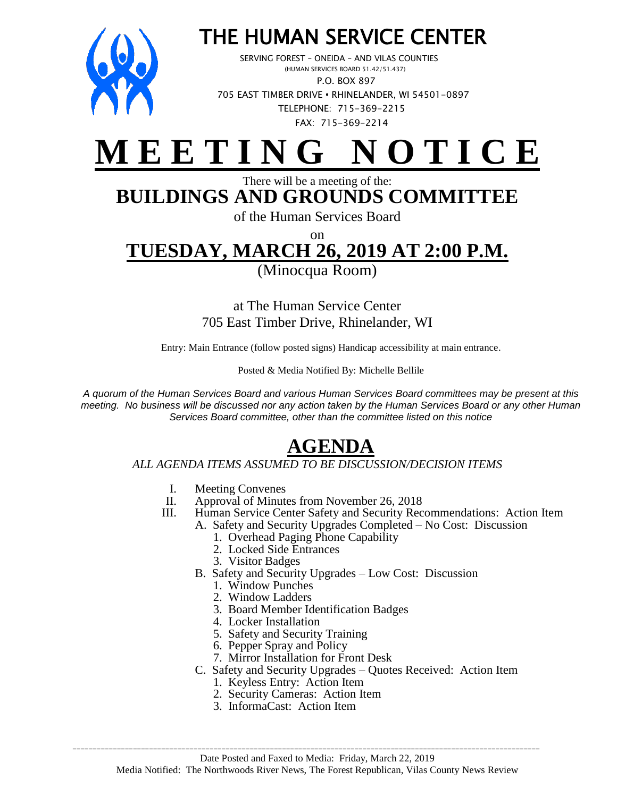

# THE HUMAN SERVICE CENTER

 SERVING FOREST – ONEIDA – AND VILAS COUNTIES (HUMAN SERVICES BOARD 51.42/51.437) P.O. BOX 897 705 EAST TIMBER DRIVE **•** RHINELANDER, WI 54501-0897 TELEPHONE: 715-369-2215 FAX: 715-369-2214



#### There will be a meeting of the: **BUILDINGS AND GROUNDS COMMITTEE**

of the Human Services Board

### on **TUESDAY, MARCH 26, 2019 AT 2:00 P.M.**

(Minocqua Room)

at The Human Service Center 705 East Timber Drive, Rhinelander, WI

Entry: Main Entrance (follow posted signs) Handicap accessibility at main entrance.

Posted & Media Notified By: Michelle Bellile

*A quorum of the Human Services Board and various Human Services Board committees may be present at this meeting. No business will be discussed nor any action taken by the Human Services Board or any other Human Services Board committee, other than the committee listed on this notice*

## **AGENDA**

#### *ALL AGENDA ITEMS ASSUMED TO BE DISCUSSION/DECISION ITEMS*

- I. Meeting Convenes
- II. Approval of Minutes from November 26, 2018
- III. Human Service Center Safety and Security Recommendations: Action Item
	- A. Safety and Security Upgrades Completed No Cost: Discussion
		- 1. Overhead Paging Phone Capability
		- 2. Locked Side Entrances
		- 3. Visitor Badges
		- B. Safety and Security Upgrades Low Cost: Discussion
			- 1. Window Punches
			- 2. Window Ladders
			- 3. Board Member Identification Badges
			- 4. Locker Installation
			- 5. Safety and Security Training
			- 6. Pepper Spray and Policy
			- 7. Mirror Installation for Front Desk
		- C. Safety and Security Upgrades Quotes Received: Action Item
			- 1. Keyless Entry: Action Item
			- 2. Security Cameras: Action Item
			- 3. InformaCast: Action Item

\_\_\_\_\_\_\_\_\_\_\_\_\_\_\_\_\_\_\_\_\_\_\_\_\_\_\_\_\_\_\_\_\_\_\_\_\_\_\_\_\_\_\_\_\_\_\_\_\_\_\_\_\_\_\_\_\_\_\_\_\_\_\_\_\_\_\_\_\_\_\_\_\_\_\_\_\_\_\_\_\_\_\_\_\_\_\_\_\_\_\_\_\_\_\_\_\_\_\_\_\_\_\_\_\_\_\_\_\_\_\_\_\_\_\_\_